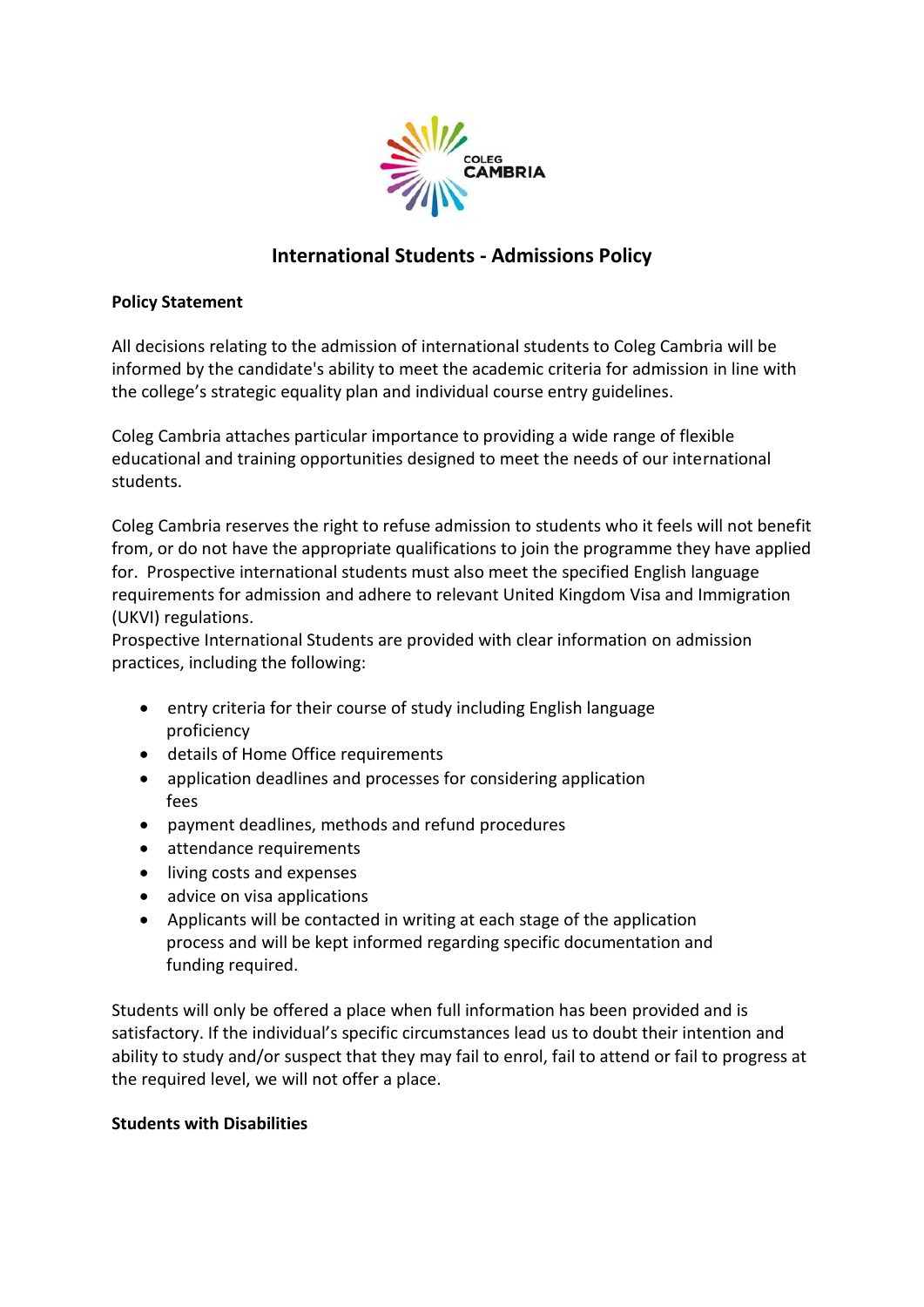

# **International Students - Admissions Policy**

# **Policy Statement**

All decisions relating to the admission of international students to Coleg Cambria will be informed by the candidate's ability to meet the academic criteria for admission in line with the college's strategic equality plan and individual course entry guidelines.

Coleg Cambria attaches particular importance to providing a wide range of flexible educational and training opportunities designed to meet the needs of our international students.

Coleg Cambria reserves the right to refuse admission to students who it feels will not benefit from, or do not have the appropriate qualifications to join the programme they have applied for. Prospective international students must also meet the specified English language requirements for admission and adhere to relevant United Kingdom Visa and Immigration (UKVI) regulations.

Prospective International Students are provided with clear information on admission practices, including the following:

- entry criteria for their course of study including English language proficiency
- details of Home Office requirements
- application deadlines and processes for considering application fees
- payment deadlines, methods and refund procedures
- attendance requirements
- living costs and expenses
- advice on visa applications
- Applicants will be contacted in writing at each stage of the application process and will be kept informed regarding specific documentation and funding required.

Students will only be offered a place when full information has been provided and is satisfactory. If the individual's specific circumstances lead us to doubt their intention and ability to study and/or suspect that they may fail to enrol, fail to attend or fail to progress at the required level, we will not offer a place.

### **Students with Disabilities**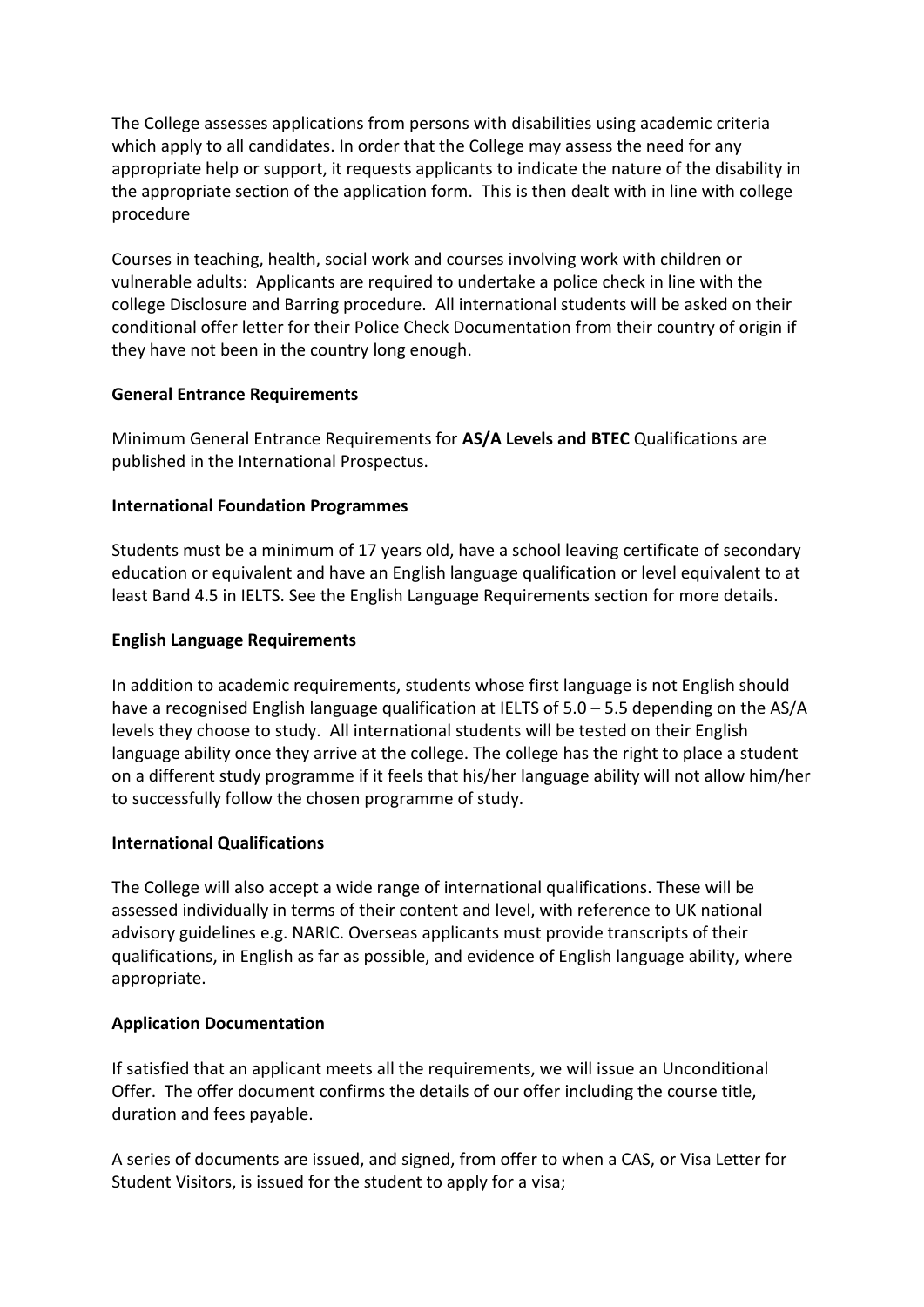The College assesses applications from persons with disabilities using academic criteria which apply to all candidates. In order that the College may assess the need for any appropriate help or support, it requests applicants to indicate the nature of the disability in the appropriate section of the application form. This is then dealt with in line with college procedure

Courses in teaching, health, social work and courses involving work with children or vulnerable adults: Applicants are required to undertake a police check in line with the college Disclosure and Barring procedure. All international students will be asked on their conditional offer letter for their Police Check Documentation from their country of origin if they have not been in the country long enough.

# **General Entrance Requirements**

Minimum General Entrance Requirements for **AS/A Levels and BTEC** Qualifications are published in the International Prospectus.

# **International Foundation Programmes**

Students must be a minimum of 17 years old, have a school leaving certificate of secondary education or equivalent and have an English language qualification or level equivalent to at least Band 4.5 in IELTS. See the English Language Requirements section for more details.

# **English Language Requirements**

In addition to academic requirements, students whose first language is not English should have a recognised English language qualification at IELTS of 5.0 – 5.5 depending on the AS/A levels they choose to study. All international students will be tested on their English language ability once they arrive at the college. The college has the right to place a student on a different study programme if it feels that his/her language ability will not allow him/her to successfully follow the chosen programme of study.

# **International Qualifications**

The College will also accept a wide range of international qualifications. These will be assessed individually in terms of their content and level, with reference to UK national advisory guidelines e.g. NARIC. Overseas applicants must provide transcripts of their qualifications, in English as far as possible, and evidence of English language ability, where appropriate.

# **Application Documentation**

If satisfied that an applicant meets all the requirements, we will issue an Unconditional Offer. The offer document confirms the details of our offer including the course title, duration and fees payable.

A series of documents are issued, and signed, from offer to when a CAS, or Visa Letter for Student Visitors, is issued for the student to apply for a visa;